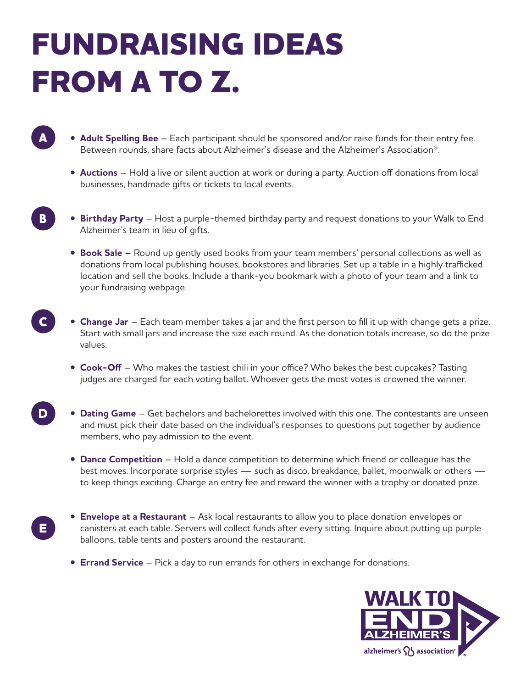## **FUNDRAISING IDEAS FROM A TO Z.**

**A**

**B**

**E**

- **Adult Spelling Bee** Each participant should be sponsored and/or raise funds for their entry fee. Between rounds, share facts about Alzheimer's disease and the Alzheimer's Association®.
	- **Auctions** Hold a live or silent auction at work or during a party. Auction off donations from local businesses, handmade gifts or tickets to local events.
- **Birthday Party** Host a purple-themed birthday party and request donations to your Walk to End Alzheimer's team in lieu of gifts.
	- **Book Sale** Round up gently used books from your team members' personal collections as well as donations from local publishing houses, bookstores and libraries. Set up a table in a highly trafficked location and sell the books. Include a thank-you bookmark with a photo of your team and a link to your fundraising webpage.
- **Change Jar**  Each team member takes a jar and the first person to fill it up with change gets a prize. Start with small jars and increase the size each round. As the donation totals increase, so do the prize values. **C**
	- **Cook-Off**  Who makes the tastiest chili in your office? Who bakes the best cupcakes? Tasting judges are charged for each voting ballot. Whoever gets the most votes is crowned the winner.
- **Dating Game** Get bachelors and bachelorettes involved with this one. The contestants are unseen and must pick their date based on the individual's responses to questions put together by audience members, who pay admission to the event. **D**
	- **Dance Competition**  Hold a dance competition to determine which friend or colleague has the best moves. Incorporate surprise styles — such as disco, breakdance, ballet, moonwalk or others to keep things exciting. Charge an entry fee and reward the winner with a trophy or donated prize.
	- **Envelope at a Restaurant**  Ask local restaurants to allow you to place donation envelopes or canisters at each table. Servers will collect funds after every sitting. Inquire about putting up purple balloons, table tents and posters around the restaurant.
		- **Errand Service** Pick a day to run errands for others in exchange for donations.

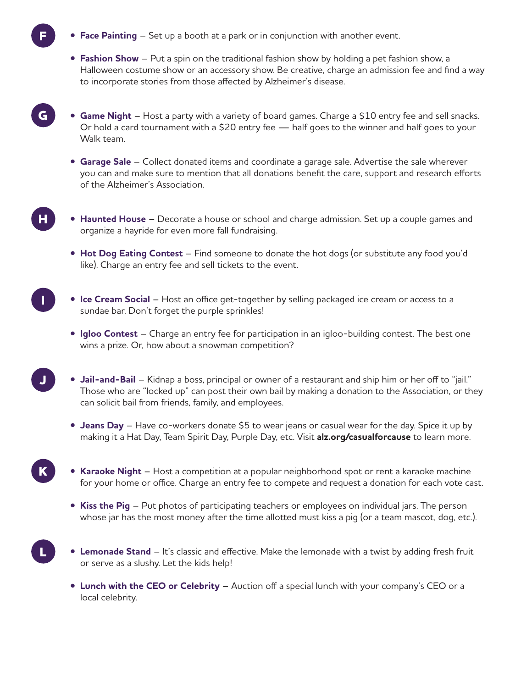**• Face Painting** – Set up a booth at a park or in conjunction with another event.

**F**

**G**

**H**

**I**

**J**

**K**

**L**

- **Fashion Show**  Put a spin on the traditional fashion show by holding a pet fashion show, a Halloween costume show or an accessory show. Be creative, charge an admission fee and find a way to incorporate stories from those affected by Alzheimer's disease.
- **Game Night** Host a party with a variety of board games. Charge a \$10 entry fee and sell snacks. Or hold a card tournament with a \$20 entry fee — half goes to the winner and half goes to your Walk team.
- **Garage Sale** Collect donated items and coordinate a garage sale. Advertise the sale wherever you can and make sure to mention that all donations benefit the care, support and research efforts of the Alzheimer's Association.
- **Haunted House** Decorate a house or school and charge admission. Set up a couple games and organize a hayride for even more fall fundraising.
	- **Hot Dog Eating Contest** Find someone to donate the hot dogs (or substitute any food you'd like). Charge an entry fee and sell tickets to the event.
- **Ice Cream Social**  Host an office get-together by selling packaged ice cream or access to a sundae bar. Don't forget the purple sprinkles!
	- **Igloo Contest**  Charge an entry fee for participation in an igloo-building contest. The best one wins a prize. Or, how about a snowman competition?
- **Jail-and-Bail** Kidnap a boss, principal or owner of a restaurant and ship him or her off to "jail." Those who are "locked up" can post their own bail by making a donation to the Association, or they can solicit bail from friends, family, and employees.
	- **Jeans Day**  Have co-workers donate \$5 to wear jeans or casual wear for the day. Spice it up by making it a Hat Day, Team Spirit Day, Purple Day, etc. Visit **alz.org/casualforcause** to learn more.
- **Karaoke Night**  Host a competition at a popular neighborhood spot or rent a karaoke machine for your home or office. Charge an entry fee to compete and request a donation for each vote cast.
	- **Kiss the Pig** Put photos of participating teachers or employees on individual jars. The person whose jar has the most money after the time allotted must kiss a pig (or a team mascot, dog, etc.).
- **Lemonade Stand**  It's classic and effective. Make the lemonade with a twist by adding fresh fruit or serve as a slushy. Let the kids help!
	- **Lunch with the CEO or Celebrity** Auction off a special lunch with your company's CEO or a local celebrity.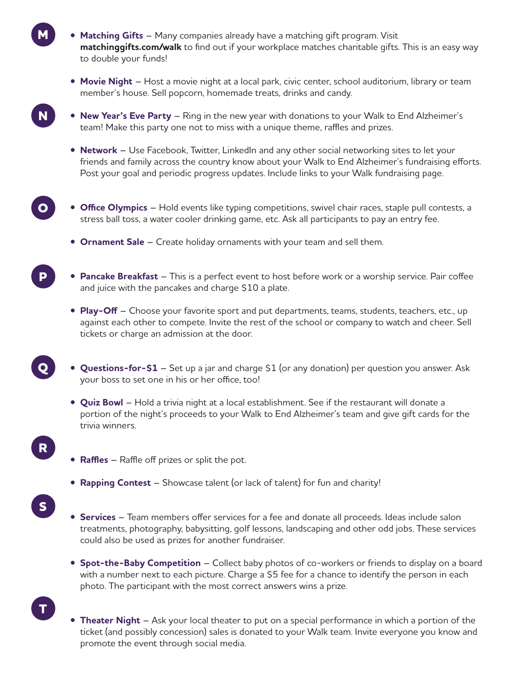- **Matching Gifts** Many companies already have a matching gift program. Visit **matchinggifts.com/walk** to find out if your workplace matches charitable gifts. This is an easy way to double your funds!
	- **Movie Night**  Host a movie night at a local park, civic center, school auditorium, library or team member's house. Sell popcorn, homemade treats, drinks and candy.
- **New Year's Eve Party**  Ring in the new year with donations to your Walk to End Alzheimer's team! Make this party one not to miss with a unique theme, raffles and prizes.
	- **Network** Use Facebook, Twitter, LinkedIn and any other social networking sites to let your friends and family across the country know about your Walk to End Alzheimer's fundraising efforts. Post your goal and periodic progress updates. Include links to your Walk fundraising page.
- **Office Olympics** Hold events like typing competitions, swivel chair races, staple pull contests, a stress ball toss, a water cooler drinking game, etc. Ask all participants to pay an entry fee.
	- **Ornament Sale** Create holiday ornaments with your team and sell them.
- **Pancake Breakfast** This is a perfect event to host before work or a worship service. Pair coffee and juice with the pancakes and charge \$10 a plate.
	- **Play-Off** Choose your favorite sport and put departments, teams, students, teachers, etc., up against each other to compete. Invite the rest of the school or company to watch and cheer. Sell tickets or charge an admission at the door.
- **Questions-for-\$1** Set up a jar and charge \$1 (or any donation) per question you answer. Ask your boss to set one in his or her office, too!
	- **Quiz Bowl** Hold a trivia night at a local establishment. See if the restaurant will donate a portion of the night's proceeds to your Walk to End Alzheimer's team and give gift cards for the trivia winners.
	- **Raffles** Raffle off prizes or split the pot.

**M**

**N**

**O**

**P**

**Q**

**R**

**S**

**T**

- **Rapping Contest**  Showcase talent (or lack of talent) for fun and charity!
- **Services** Team members offer services for a fee and donate all proceeds. Ideas include salon treatments, photography, babysitting, golf lessons, landscaping and other odd jobs. These services could also be used as prizes for another fundraiser.
- **Spot-the-Baby Competition** Collect baby photos of co-workers or friends to display on a board with a number next to each picture. Charge a \$5 fee for a chance to identify the person in each photo. The participant with the most correct answers wins a prize.
- **Theater Night** Ask your local theater to put on a special performance in which a portion of the ticket (and possibly concession) sales is donated to your Walk team. Invite everyone you know and promote the event through social media.